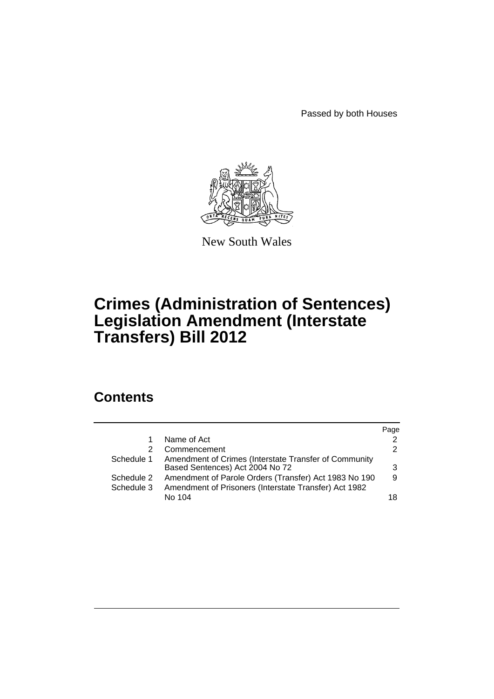Passed by both Houses



New South Wales

# **Crimes (Administration of Sentences) Legislation Amendment (Interstate Transfers) Bill 2012**

# **Contents**

|            |                                                       | Page          |
|------------|-------------------------------------------------------|---------------|
| 1          | Name of Act                                           | 2             |
| 2          | Commencement                                          | $\mathcal{P}$ |
| Schedule 1 | Amendment of Crimes (Interstate Transfer of Community |               |
|            | Based Sentences) Act 2004 No 72                       | 3             |
| Schedule 2 | Amendment of Parole Orders (Transfer) Act 1983 No 190 | 9             |
| Schedule 3 | Amendment of Prisoners (Interstate Transfer) Act 1982 |               |
|            | No 104                                                | 18            |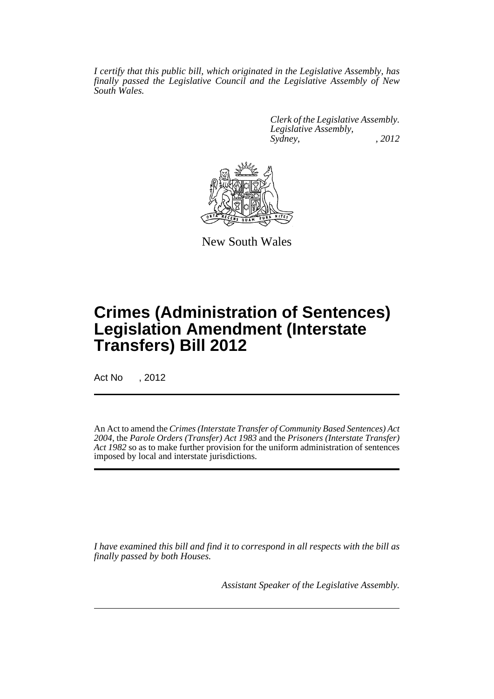*I certify that this public bill, which originated in the Legislative Assembly, has finally passed the Legislative Council and the Legislative Assembly of New South Wales.*

> *Clerk of the Legislative Assembly. Legislative Assembly, Sydney, , 2012*



New South Wales

# **Crimes (Administration of Sentences) Legislation Amendment (Interstate Transfers) Bill 2012**

Act No , 2012

An Act to amend the *Crimes (Interstate Transfer of Community Based Sentences) Act 2004*, the *Parole Orders (Transfer) Act 1983* and the *Prisoners (Interstate Transfer) Act 1982* so as to make further provision for the uniform administration of sentences imposed by local and interstate jurisdictions.

*I have examined this bill and find it to correspond in all respects with the bill as finally passed by both Houses.*

*Assistant Speaker of the Legislative Assembly.*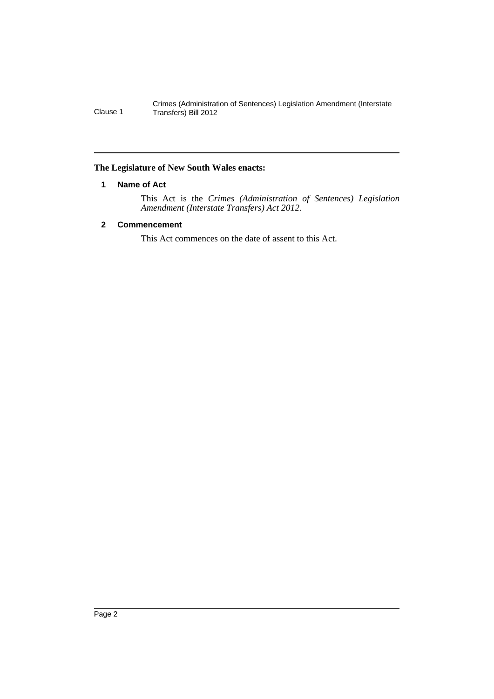# <span id="page-3-0"></span>**The Legislature of New South Wales enacts:**

### **1 Name of Act**

This Act is the *Crimes (Administration of Sentences) Legislation Amendment (Interstate Transfers) Act 2012*.

# <span id="page-3-1"></span>**2 Commencement**

This Act commences on the date of assent to this Act.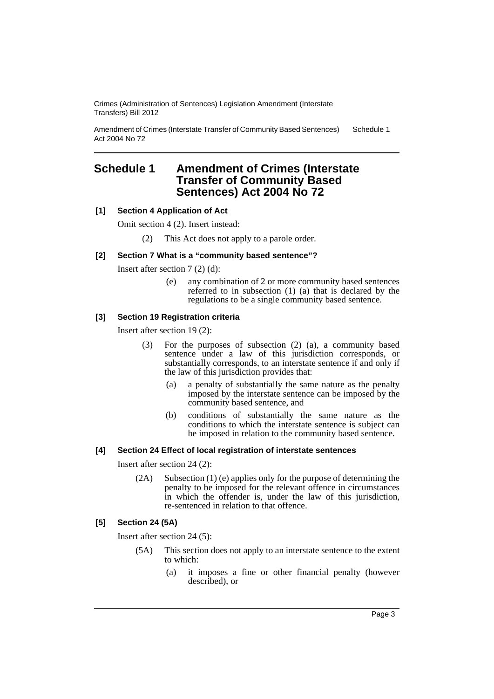Amendment of Crimes (Interstate Transfer of Community Based Sentences) Act 2004 No 72 Schedule 1

# <span id="page-4-0"></span>**Schedule 1 Amendment of Crimes (Interstate Transfer of Community Based Sentences) Act 2004 No 72**

# **[1] Section 4 Application of Act**

Omit section 4 (2). Insert instead:

(2) This Act does not apply to a parole order.

# **[2] Section 7 What is a "community based sentence"?**

Insert after section 7 (2) (d):

(e) any combination of 2 or more community based sentences referred to in subsection (1) (a) that is declared by the regulations to be a single community based sentence.

# **[3] Section 19 Registration criteria**

Insert after section 19 (2):

- (3) For the purposes of subsection (2) (a), a community based sentence under a law of this jurisdiction corresponds, or substantially corresponds, to an interstate sentence if and only if the law of this jurisdiction provides that:
	- (a) a penalty of substantially the same nature as the penalty imposed by the interstate sentence can be imposed by the community based sentence, and
	- (b) conditions of substantially the same nature as the conditions to which the interstate sentence is subject can be imposed in relation to the community based sentence.

# **[4] Section 24 Effect of local registration of interstate sentences**

Insert after section 24 (2):

(2A) Subsection (1) (e) applies only for the purpose of determining the penalty to be imposed for the relevant offence in circumstances in which the offender is, under the law of this jurisdiction, re-sentenced in relation to that offence.

# **[5] Section 24 (5A)**

Insert after section 24 (5):

- (5A) This section does not apply to an interstate sentence to the extent to which:
	- (a) it imposes a fine or other financial penalty (however described), or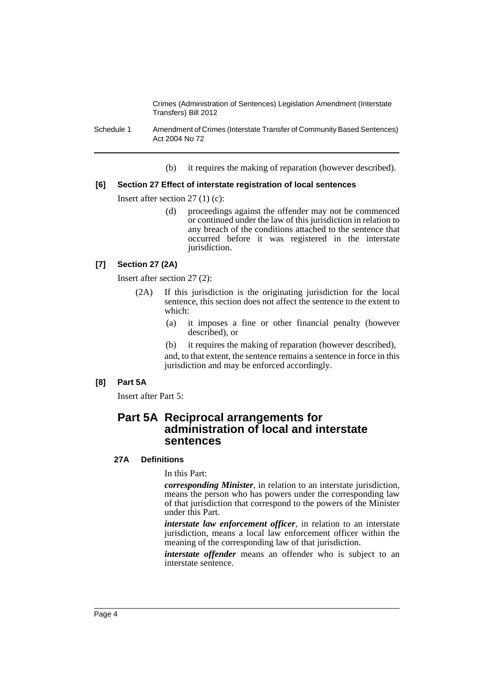Schedule 1 Amendment of Crimes (Interstate Transfer of Community Based Sentences) Act 2004 No 72

(b) it requires the making of reparation (however described).

#### **[6] Section 27 Effect of interstate registration of local sentences**

Insert after section 27 (1) (c):

(d) proceedings against the offender may not be commenced or continued under the law of this jurisdiction in relation to any breach of the conditions attached to the sentence that occurred before it was registered in the interstate jurisdiction.

### **[7] Section 27 (2A)**

Insert after section 27 (2):

- (2A) If this jurisdiction is the originating jurisdiction for the local sentence, this section does not affect the sentence to the extent to which:
	- (a) it imposes a fine or other financial penalty (however described), or
	- (b) it requires the making of reparation (however described),

and, to that extent, the sentence remains a sentence in force in this jurisdiction and may be enforced accordingly.

#### **[8] Part 5A**

Insert after Part 5:

# **Part 5A Reciprocal arrangements for administration of local and interstate sentences**

# **27A Definitions**

In this Part:

*corresponding Minister*, in relation to an interstate jurisdiction, means the person who has powers under the corresponding law of that jurisdiction that correspond to the powers of the Minister under this Part.

*interstate law enforcement officer*, in relation to an interstate jurisdiction, means a local law enforcement officer within the meaning of the corresponding law of that jurisdiction.

*interstate offender* means an offender who is subject to an interstate sentence.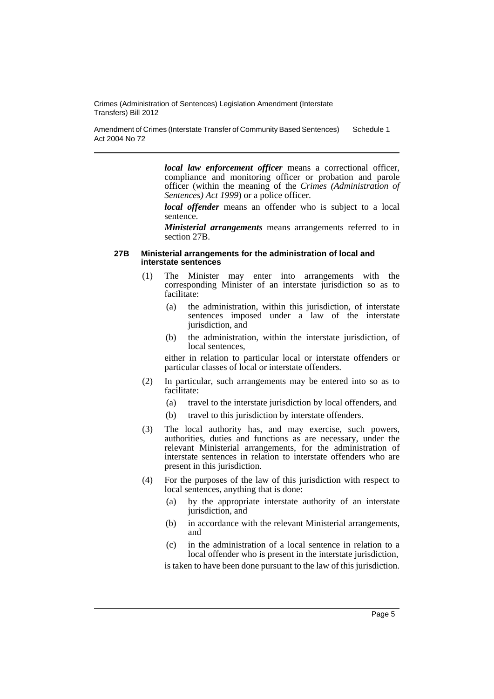Amendment of Crimes (Interstate Transfer of Community Based Sentences) Act 2004 No 72 Schedule 1

> *local law enforcement officer* means a correctional officer, compliance and monitoring officer or probation and parole officer (within the meaning of the *Crimes (Administration of Sentences) Act 1999*) or a police officer.

> *local offender* means an offender who is subject to a local sentence.

> *Ministerial arrangements* means arrangements referred to in section 27B.

#### **27B Ministerial arrangements for the administration of local and interstate sentences**

- (1) The Minister may enter into arrangements with the corresponding Minister of an interstate jurisdiction so as to facilitate:
	- (a) the administration, within this jurisdiction, of interstate sentences imposed under a law of the interstate jurisdiction, and
	- (b) the administration, within the interstate jurisdiction, of local sentences,

either in relation to particular local or interstate offenders or particular classes of local or interstate offenders.

- (2) In particular, such arrangements may be entered into so as to facilitate:
	- (a) travel to the interstate jurisdiction by local offenders, and
	- (b) travel to this jurisdiction by interstate offenders.
- (3) The local authority has, and may exercise, such powers, authorities, duties and functions as are necessary, under the relevant Ministerial arrangements, for the administration of interstate sentences in relation to interstate offenders who are present in this jurisdiction.
- (4) For the purposes of the law of this jurisdiction with respect to local sentences, anything that is done:
	- (a) by the appropriate interstate authority of an interstate jurisdiction, and
	- (b) in accordance with the relevant Ministerial arrangements, and
	- (c) in the administration of a local sentence in relation to a local offender who is present in the interstate jurisdiction,

is taken to have been done pursuant to the law of this jurisdiction.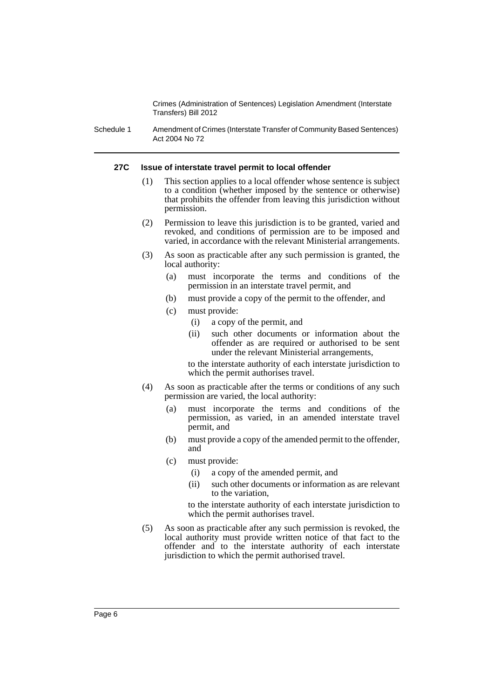Schedule 1 Amendment of Crimes (Interstate Transfer of Community Based Sentences) Act 2004 No 72

#### **27C Issue of interstate travel permit to local offender**

- (1) This section applies to a local offender whose sentence is subject to a condition (whether imposed by the sentence or otherwise) that prohibits the offender from leaving this jurisdiction without permission.
- (2) Permission to leave this jurisdiction is to be granted, varied and revoked, and conditions of permission are to be imposed and varied, in accordance with the relevant Ministerial arrangements.
- (3) As soon as practicable after any such permission is granted, the local authority:
	- (a) must incorporate the terms and conditions of the permission in an interstate travel permit, and
	- (b) must provide a copy of the permit to the offender, and
	- (c) must provide:
		- (i) a copy of the permit, and
		- (ii) such other documents or information about the offender as are required or authorised to be sent under the relevant Ministerial arrangements,

to the interstate authority of each interstate jurisdiction to which the permit authorises travel.

- (4) As soon as practicable after the terms or conditions of any such permission are varied, the local authority:
	- (a) must incorporate the terms and conditions of the permission, as varied, in an amended interstate travel permit, and
	- (b) must provide a copy of the amended permit to the offender, and
	- (c) must provide:
		- (i) a copy of the amended permit, and
		- (ii) such other documents or information as are relevant to the variation,

to the interstate authority of each interstate jurisdiction to which the permit authorises travel.

(5) As soon as practicable after any such permission is revoked, the local authority must provide written notice of that fact to the offender and to the interstate authority of each interstate jurisdiction to which the permit authorised travel.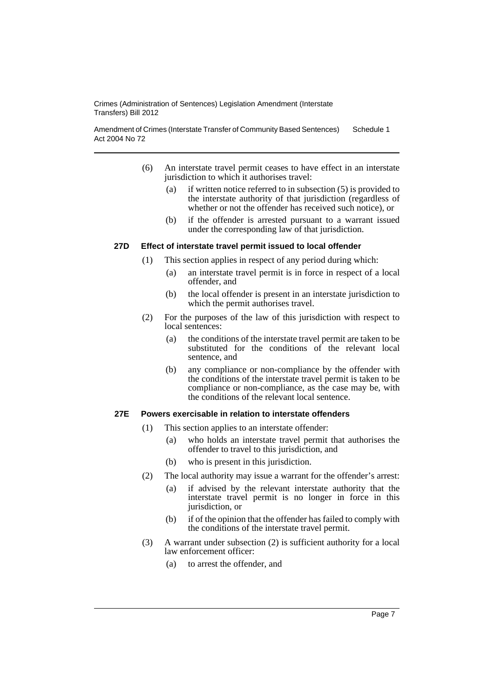Amendment of Crimes (Interstate Transfer of Community Based Sentences) Act 2004 No 72 Schedule 1

- (6) An interstate travel permit ceases to have effect in an interstate jurisdiction to which it authorises travel:
	- (a) if written notice referred to in subsection (5) is provided to the interstate authority of that jurisdiction (regardless of whether or not the offender has received such notice), or
	- (b) if the offender is arrested pursuant to a warrant issued under the corresponding law of that jurisdiction.

#### **27D Effect of interstate travel permit issued to local offender**

- (1) This section applies in respect of any period during which:
	- (a) an interstate travel permit is in force in respect of a local offender, and
	- (b) the local offender is present in an interstate jurisdiction to which the permit authorises travel.
- (2) For the purposes of the law of this jurisdiction with respect to local sentences:
	- (a) the conditions of the interstate travel permit are taken to be substituted for the conditions of the relevant local sentence, and
	- (b) any compliance or non-compliance by the offender with the conditions of the interstate travel permit is taken to be compliance or non-compliance, as the case may be, with the conditions of the relevant local sentence.

# **27E Powers exercisable in relation to interstate offenders**

- (1) This section applies to an interstate offender:
	- (a) who holds an interstate travel permit that authorises the offender to travel to this jurisdiction, and
	- (b) who is present in this jurisdiction.
- (2) The local authority may issue a warrant for the offender's arrest:
	- (a) if advised by the relevant interstate authority that the interstate travel permit is no longer in force in this jurisdiction, or
	- (b) if of the opinion that the offender has failed to comply with the conditions of the interstate travel permit.
- (3) A warrant under subsection (2) is sufficient authority for a local law enforcement officer:
	- (a) to arrest the offender, and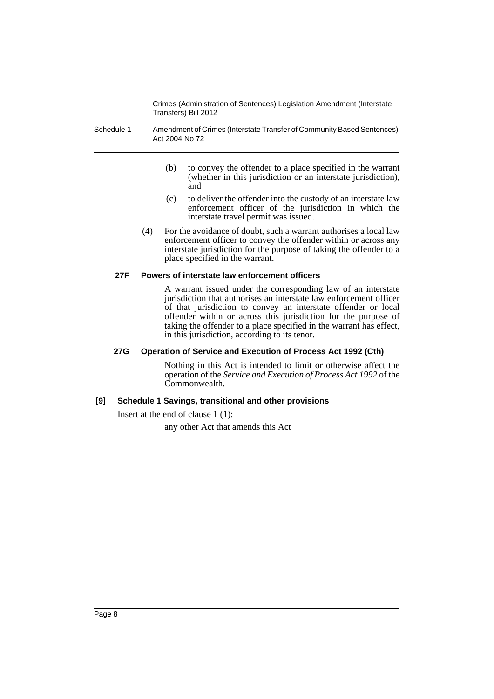- Schedule 1 Amendment of Crimes (Interstate Transfer of Community Based Sentences) Act 2004 No 72
	- (b) to convey the offender to a place specified in the warrant (whether in this jurisdiction or an interstate jurisdiction), and
	- (c) to deliver the offender into the custody of an interstate law enforcement officer of the jurisdiction in which the interstate travel permit was issued.
	- (4) For the avoidance of doubt, such a warrant authorises a local law enforcement officer to convey the offender within or across any interstate jurisdiction for the purpose of taking the offender to a place specified in the warrant.

### **27F Powers of interstate law enforcement officers**

A warrant issued under the corresponding law of an interstate jurisdiction that authorises an interstate law enforcement officer of that jurisdiction to convey an interstate offender or local offender within or across this jurisdiction for the purpose of taking the offender to a place specified in the warrant has effect, in this jurisdiction, according to its tenor.

#### **27G Operation of Service and Execution of Process Act 1992 (Cth)**

Nothing in this Act is intended to limit or otherwise affect the operation of the *Service and Execution of Process Act 1992* of the Commonwealth.

# **[9] Schedule 1 Savings, transitional and other provisions**

Insert at the end of clause 1 (1):

any other Act that amends this Act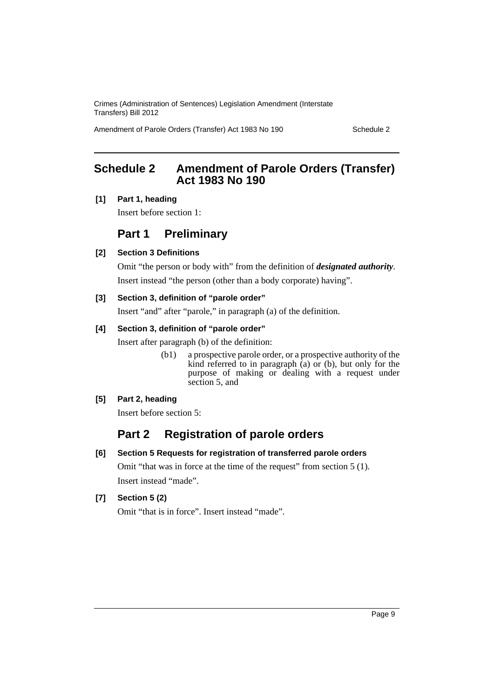Amendment of Parole Orders (Transfer) Act 1983 No 190 Schedule 2

# <span id="page-10-0"></span>**Schedule 2 Amendment of Parole Orders (Transfer) Act 1983 No 190**

# **[1] Part 1, heading**

Insert before section 1:

# **Part 1 Preliminary**

# **[2] Section 3 Definitions**

Omit "the person or body with" from the definition of *designated authority*. Insert instead "the person (other than a body corporate) having".

# **[3] Section 3, definition of "parole order"**

Insert "and" after "parole," in paragraph (a) of the definition.

# **[4] Section 3, definition of "parole order"**

Insert after paragraph (b) of the definition:

(b1) a prospective parole order, or a prospective authority of the kind referred to in paragraph  $\alpha$  or  $(b)$ , but only for the purpose of making or dealing with a request under section 5, and

# **[5] Part 2, heading**

Insert before section 5:

# **Part 2 Registration of parole orders**

# **[6] Section 5 Requests for registration of transferred parole orders**

Omit "that was in force at the time of the request" from section 5 (1). Insert instead "made".

# **[7] Section 5 (2)**

Omit "that is in force". Insert instead "made".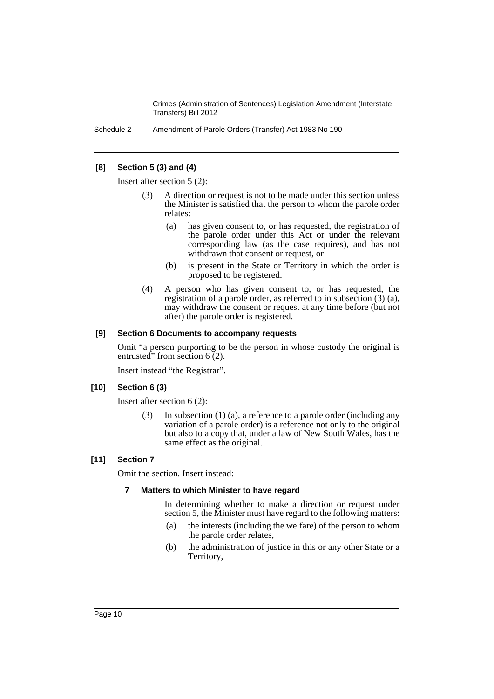Schedule 2 Amendment of Parole Orders (Transfer) Act 1983 No 190

### **[8] Section 5 (3) and (4)**

Insert after section 5 (2):

- (3) A direction or request is not to be made under this section unless the Minister is satisfied that the person to whom the parole order relates:
	- (a) has given consent to, or has requested, the registration of the parole order under this Act or under the relevant corresponding law (as the case requires), and has not withdrawn that consent or request, or
	- (b) is present in the State or Territory in which the order is proposed to be registered.
- (4) A person who has given consent to, or has requested, the registration of a parole order, as referred to in subsection (3) (a), may withdraw the consent or request at any time before (but not after) the parole order is registered.

#### **[9] Section 6 Documents to accompany requests**

Omit "a person purporting to be the person in whose custody the original is entrusted" from section  $6(2)$ .

Insert instead "the Registrar".

### **[10] Section 6 (3)**

Insert after section 6 (2):

(3) In subsection (1) (a), a reference to a parole order (including any variation of a parole order) is a reference not only to the original but also to a copy that, under a law of New South Wales, has the same effect as the original.

#### **[11] Section 7**

Omit the section. Insert instead:

#### **7 Matters to which Minister to have regard**

In determining whether to make a direction or request under section 5, the Minister must have regard to the following matters:

- (a) the interests (including the welfare) of the person to whom the parole order relates,
- (b) the administration of justice in this or any other State or a Territory,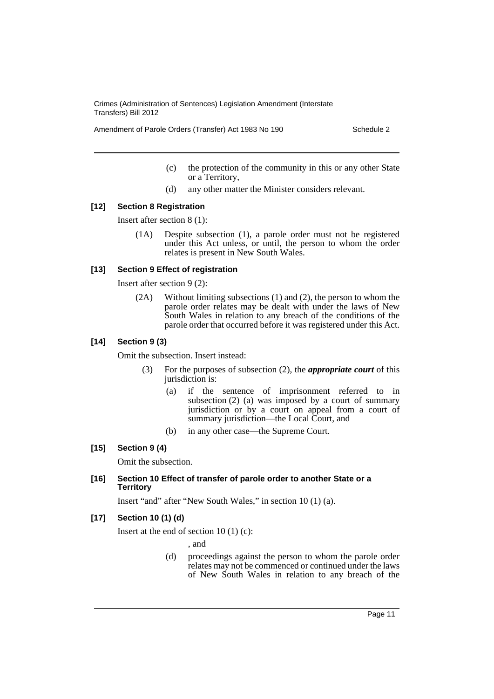Amendment of Parole Orders (Transfer) Act 1983 No 190 Schedule 2

- (c) the protection of the community in this or any other State or a Territory,
- (d) any other matter the Minister considers relevant.

#### **[12] Section 8 Registration**

Insert after section 8 (1):

(1A) Despite subsection (1), a parole order must not be registered under this Act unless, or until, the person to whom the order relates is present in New South Wales.

#### **[13] Section 9 Effect of registration**

Insert after section 9 (2):

(2A) Without limiting subsections (1) and (2), the person to whom the parole order relates may be dealt with under the laws of New South Wales in relation to any breach of the conditions of the parole order that occurred before it was registered under this Act.

#### **[14] Section 9 (3)**

Omit the subsection. Insert instead:

- (3) For the purposes of subsection (2), the *appropriate court* of this jurisdiction is:
	- (a) if the sentence of imprisonment referred to in subsection (2) (a) was imposed by a court of summary jurisdiction or by a court on appeal from a court of summary jurisdiction—the Local Court, and
	- (b) in any other case—the Supreme Court.

#### **[15] Section 9 (4)**

Omit the subsection.

#### **[16] Section 10 Effect of transfer of parole order to another State or a Territory**

Insert "and" after "New South Wales," in section 10 (1) (a).

### **[17] Section 10 (1) (d)**

Insert at the end of section  $10(1)(c)$ :

, and

(d) proceedings against the person to whom the parole order relates may not be commenced or continued under the laws of New South Wales in relation to any breach of the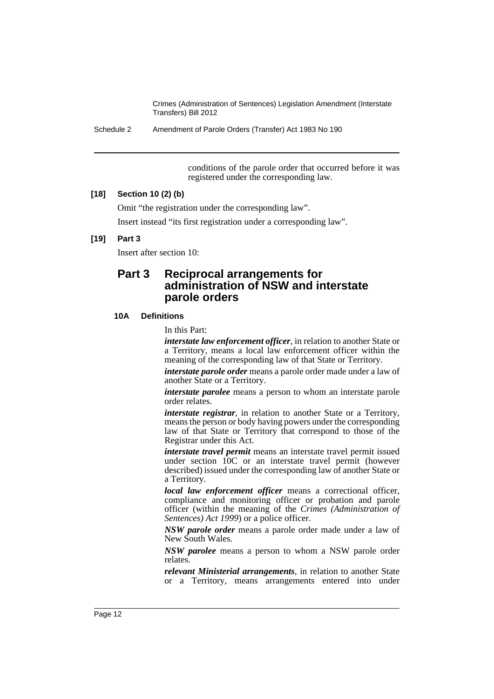Schedule 2 Amendment of Parole Orders (Transfer) Act 1983 No 190

conditions of the parole order that occurred before it was registered under the corresponding law.

### **[18] Section 10 (2) (b)**

Omit "the registration under the corresponding law".

Insert instead "its first registration under a corresponding law".

#### **[19] Part 3**

Insert after section 10:

# **Part 3 Reciprocal arrangements for administration of NSW and interstate parole orders**

#### **10A Definitions**

In this Part:

*interstate law enforcement officer*, in relation to another State or a Territory, means a local law enforcement officer within the meaning of the corresponding law of that State or Territory.

*interstate parole order* means a parole order made under a law of another State or a Territory.

*interstate parolee* means a person to whom an interstate parole order relates.

*interstate registrar*, in relation to another State or a Territory, means the person or body having powers under the corresponding law of that State or Territory that correspond to those of the Registrar under this Act.

*interstate travel permit* means an interstate travel permit issued under section 10C or an interstate travel permit (however described) issued under the corresponding law of another State or a Territory.

*local law enforcement officer* means a correctional officer, compliance and monitoring officer or probation and parole officer (within the meaning of the *Crimes (Administration of Sentences) Act 1999*) or a police officer.

*NSW parole order* means a parole order made under a law of New South Wales.

*NSW parolee* means a person to whom a NSW parole order relates.

*relevant Ministerial arrangements*, in relation to another State or a Territory, means arrangements entered into under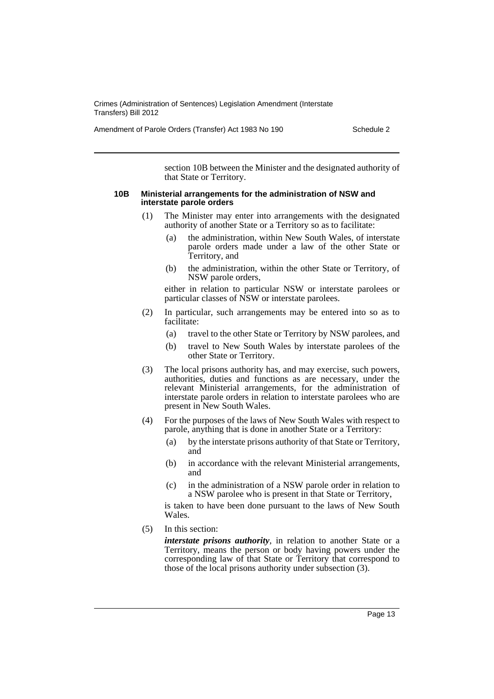Amendment of Parole Orders (Transfer) Act 1983 No 190 Schedule 2

section 10B between the Minister and the designated authority of that State or Territory.

#### **10B Ministerial arrangements for the administration of NSW and interstate parole orders**

- (1) The Minister may enter into arrangements with the designated authority of another State or a Territory so as to facilitate:
	- (a) the administration, within New South Wales, of interstate parole orders made under a law of the other State or Territory, and
	- (b) the administration, within the other State or Territory, of NSW parole orders,

either in relation to particular NSW or interstate parolees or particular classes of NSW or interstate parolees.

- (2) In particular, such arrangements may be entered into so as to facilitate:
	- (a) travel to the other State or Territory by NSW parolees, and
	- (b) travel to New South Wales by interstate parolees of the other State or Territory.
- (3) The local prisons authority has, and may exercise, such powers, authorities, duties and functions as are necessary, under the relevant Ministerial arrangements, for the administration of interstate parole orders in relation to interstate parolees who are present in New South Wales.
- (4) For the purposes of the laws of New South Wales with respect to parole, anything that is done in another State or a Territory:
	- (a) by the interstate prisons authority of that State or Territory, and
	- (b) in accordance with the relevant Ministerial arrangements, and
	- (c) in the administration of a NSW parole order in relation to a NSW parolee who is present in that State or Territory,

is taken to have been done pursuant to the laws of New South Wales.

(5) In this section:

*interstate prisons authority*, in relation to another State or a Territory, means the person or body having powers under the corresponding law of that State or Territory that correspond to those of the local prisons authority under subsection (3).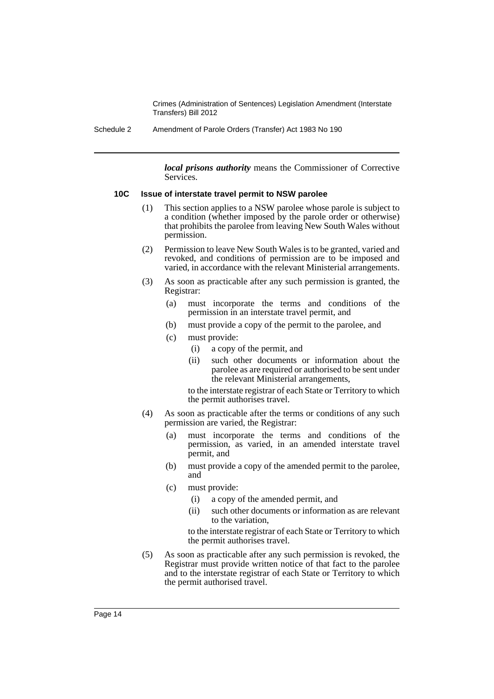Schedule 2 Amendment of Parole Orders (Transfer) Act 1983 No 190

*local prisons authority* means the Commissioner of Corrective Services.

#### **10C Issue of interstate travel permit to NSW parolee**

- (1) This section applies to a NSW parolee whose parole is subject to a condition (whether imposed by the parole order or otherwise) that prohibits the parolee from leaving New South Wales without permission.
- (2) Permission to leave New South Wales is to be granted, varied and revoked, and conditions of permission are to be imposed and varied, in accordance with the relevant Ministerial arrangements.
- (3) As soon as practicable after any such permission is granted, the Registrar:
	- (a) must incorporate the terms and conditions of the permission in an interstate travel permit, and
	- (b) must provide a copy of the permit to the parolee, and
	- (c) must provide:
		- (i) a copy of the permit, and
		- (ii) such other documents or information about the parolee as are required or authorised to be sent under the relevant Ministerial arrangements,

to the interstate registrar of each State or Territory to which the permit authorises travel.

- (4) As soon as practicable after the terms or conditions of any such permission are varied, the Registrar:
	- (a) must incorporate the terms and conditions of the permission, as varied, in an amended interstate travel permit, and
	- (b) must provide a copy of the amended permit to the parolee, and
	- (c) must provide:
		- (i) a copy of the amended permit, and
		- (ii) such other documents or information as are relevant to the variation,

to the interstate registrar of each State or Territory to which the permit authorises travel.

(5) As soon as practicable after any such permission is revoked, the Registrar must provide written notice of that fact to the parolee and to the interstate registrar of each State or Territory to which the permit authorised travel.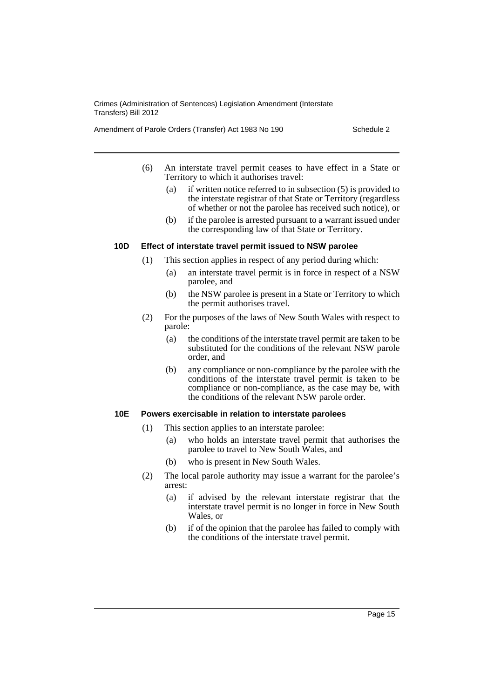Amendment of Parole Orders (Transfer) Act 1983 No 190 Schedule 2

- (6) An interstate travel permit ceases to have effect in a State or Territory to which it authorises travel:
	- (a) if written notice referred to in subsection (5) is provided to the interstate registrar of that State or Territory (regardless of whether or not the parolee has received such notice), or
	- (b) if the parolee is arrested pursuant to a warrant issued under the corresponding law of that State or Territory.

# **10D Effect of interstate travel permit issued to NSW parolee**

- (1) This section applies in respect of any period during which:
	- (a) an interstate travel permit is in force in respect of a NSW parolee, and
	- (b) the NSW parolee is present in a State or Territory to which the permit authorises travel.
- (2) For the purposes of the laws of New South Wales with respect to parole:
	- (a) the conditions of the interstate travel permit are taken to be substituted for the conditions of the relevant NSW parole order, and
	- (b) any compliance or non-compliance by the parolee with the conditions of the interstate travel permit is taken to be compliance or non-compliance, as the case may be, with the conditions of the relevant NSW parole order.

#### **10E Powers exercisable in relation to interstate parolees**

- (1) This section applies to an interstate parolee:
	- (a) who holds an interstate travel permit that authorises the parolee to travel to New South Wales, and
	- (b) who is present in New South Wales.
- (2) The local parole authority may issue a warrant for the parolee's arrest:
	- (a) if advised by the relevant interstate registrar that the interstate travel permit is no longer in force in New South Wales, or
	- (b) if of the opinion that the parolee has failed to comply with the conditions of the interstate travel permit.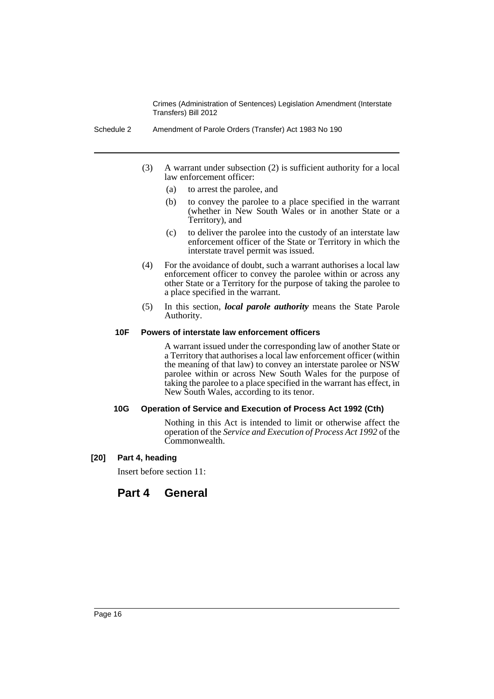- Schedule 2 Amendment of Parole Orders (Transfer) Act 1983 No 190
	- (3) A warrant under subsection (2) is sufficient authority for a local law enforcement officer:
		- (a) to arrest the parolee, and
		- (b) to convey the parolee to a place specified in the warrant (whether in New South Wales or in another State or a Territory), and
		- (c) to deliver the parolee into the custody of an interstate law enforcement officer of the State or Territory in which the interstate travel permit was issued.
	- (4) For the avoidance of doubt, such a warrant authorises a local law enforcement officer to convey the parolee within or across any other State or a Territory for the purpose of taking the parolee to a place specified in the warrant.
	- (5) In this section, *local parole authority* means the State Parole Authority.

#### **10F Powers of interstate law enforcement officers**

A warrant issued under the corresponding law of another State or a Territory that authorises a local law enforcement officer (within the meaning of that law) to convey an interstate parolee or NSW parolee within or across New South Wales for the purpose of taking the parolee to a place specified in the warrant has effect, in New South Wales, according to its tenor.

#### **10G Operation of Service and Execution of Process Act 1992 (Cth)**

Nothing in this Act is intended to limit or otherwise affect the operation of the *Service and Execution of Process Act 1992* of the Commonwealth.

#### **[20] Part 4, heading**

Insert before section 11:

# **Part 4 General**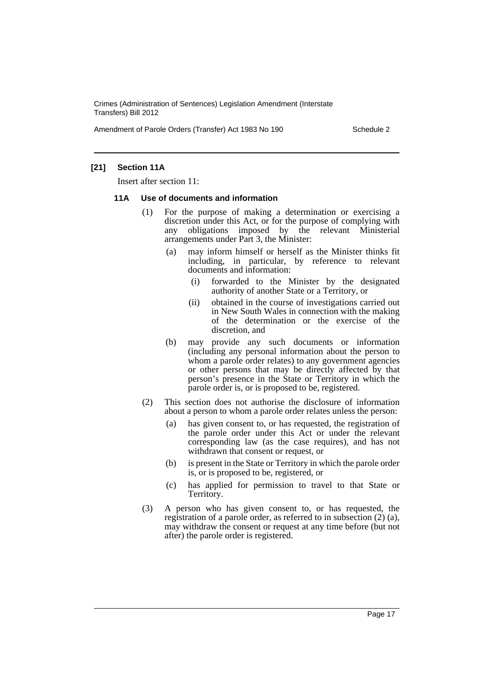Amendment of Parole Orders (Transfer) Act 1983 No 190 Schedule 2

# **[21] Section 11A**

Insert after section 11:

#### **11A Use of documents and information**

- (1) For the purpose of making a determination or exercising a discretion under this Act, or for the purpose of complying with any obligations imposed by the relevant Ministerial arrangements under Part 3, the Minister:
	- (a) may inform himself or herself as the Minister thinks fit including, in particular, by reference to relevant documents and information:
		- (i) forwarded to the Minister by the designated authority of another State or a Territory, or
		- (ii) obtained in the course of investigations carried out in New South Wales in connection with the making of the determination or the exercise of the discretion, and
	- (b) may provide any such documents or information (including any personal information about the person to whom a parole order relates) to any government agencies or other persons that may be directly affected by that person's presence in the State or Territory in which the parole order is, or is proposed to be, registered.
- (2) This section does not authorise the disclosure of information about a person to whom a parole order relates unless the person:
	- (a) has given consent to, or has requested, the registration of the parole order under this Act or under the relevant corresponding law (as the case requires), and has not withdrawn that consent or request, or
	- (b) is present in the State or Territory in which the parole order is, or is proposed to be, registered, or
	- (c) has applied for permission to travel to that State or Territory.
- (3) A person who has given consent to, or has requested, the registration of a parole order, as referred to in subsection (2) (a), may withdraw the consent or request at any time before (but not after) the parole order is registered.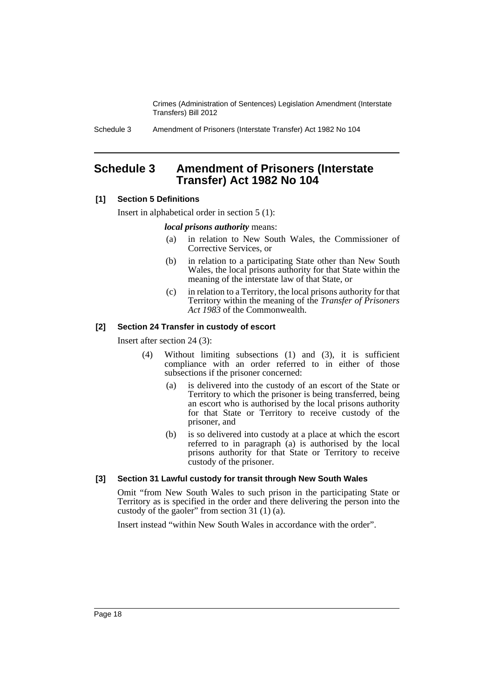Schedule 3 Amendment of Prisoners (Interstate Transfer) Act 1982 No 104

# <span id="page-19-0"></span>**Schedule 3 Amendment of Prisoners (Interstate Transfer) Act 1982 No 104**

# **[1] Section 5 Definitions**

Insert in alphabetical order in section 5 (1):

# *local prisons authority* means:

- (a) in relation to New South Wales, the Commissioner of Corrective Services, or
- (b) in relation to a participating State other than New South Wales, the local prisons authority for that State within the meaning of the interstate law of that State, or
- (c) in relation to a Territory, the local prisons authority for that Territory within the meaning of the *Transfer of Prisoners Act 1983* of the Commonwealth.

# **[2] Section 24 Transfer in custody of escort**

Insert after section 24 (3):

- (4) Without limiting subsections (1) and (3), it is sufficient compliance with an order referred to in either of those subsections if the prisoner concerned:
	- (a) is delivered into the custody of an escort of the State or Territory to which the prisoner is being transferred, being an escort who is authorised by the local prisons authority for that State or Territory to receive custody of the prisoner, and
	- (b) is so delivered into custody at a place at which the escort referred to in paragraph (a) is authorised by the local prisons authority for that State or Territory to receive custody of the prisoner.

# **[3] Section 31 Lawful custody for transit through New South Wales**

Omit "from New South Wales to such prison in the participating State or Territory as is specified in the order and there delivering the person into the custody of the gaoler" from section 31 (1) (a).

Insert instead "within New South Wales in accordance with the order".